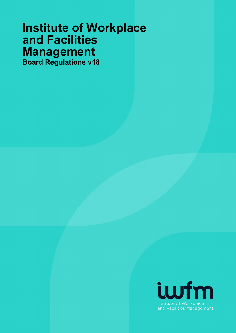# **Institute of Workplace and Facilities Management Board Regulations v18**

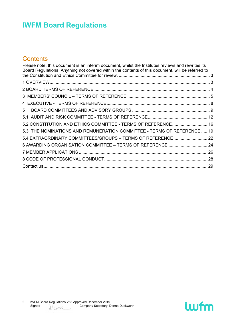### **Contents**

| Please note, this document is an interim document, whilst the Institutes reviews and rewrites its<br>Board Regulations. Anything not covered within the contents of this document, will be referred to |  |
|--------------------------------------------------------------------------------------------------------------------------------------------------------------------------------------------------------|--|
|                                                                                                                                                                                                        |  |
|                                                                                                                                                                                                        |  |
|                                                                                                                                                                                                        |  |
|                                                                                                                                                                                                        |  |
|                                                                                                                                                                                                        |  |
| 5                                                                                                                                                                                                      |  |
|                                                                                                                                                                                                        |  |
| 5.2 CONSTITUTION AND ETHICS COMMITTEE - TERMS OF REFERENCE 16                                                                                                                                          |  |
| 5.3 THE NOMINATIONS AND REMUNERATION COMMITTEE - TERMS OF REFERENCE  19                                                                                                                                |  |
| 5.4 EXTRAORDINARY COMMITTEES/GROUPS - TERMS OF REFERENCE 22                                                                                                                                            |  |
| 6 AWARDING ORGANISATION COMMITTEE - TERMS OF REFERENCE  24                                                                                                                                             |  |
|                                                                                                                                                                                                        |  |
|                                                                                                                                                                                                        |  |
|                                                                                                                                                                                                        |  |

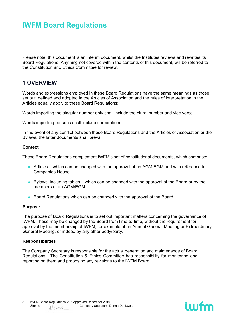<span id="page-2-0"></span>Please note, this document is an interim document, whilst the Institutes reviews and rewrites its Board Regulations. Anything not covered within the contents of this document, will be referred to the Constitution and Ethics Committee for review.

### <span id="page-2-1"></span>**1 OVERVIEW**

Words and expressions employed in these Board Regulations have the same meanings as those set out, defined and adopted in the Articles of Association and the rules of interpretation in the Articles equally apply to these Board Regulations:

Words importing the singular number only shall include the plural number and vice versa.

Words importing persons shall include corporations.

In the event of any conflict between these Board Regulations and the Articles of Association or the Bylaws, the latter documents shall prevail.

#### **Context**

These Board Regulations complement IWFM's set of constitutional documents, which comprise:

- Articles which can be changed with the approval of an AGM/EGM and with reference to Companies House
- Bylaws, including tables which can be changed with the approval of the Board or by the members at an AGM/EGM.
- Board Regulations which can be changed with the approval of the Board

#### **Purpose**

The purpose of Board Regulations is to set out important matters concerning the governance of IWFM. These may be changed by the Board from time-to-time, without the requirement for approval by the membership of IWFM, for example at an Annual General Meeting or Extraordinary General Meeting, or indeed by any other body/party.

#### **Responsibilities**

The Company Secretary is responsible for the actual generation and maintenance of Board Regulations. The Constitution & Ethics Committee has responsibility for monitoring and reporting on them and proposing any revisions to the IWFM Board.

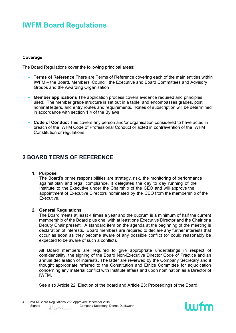#### **Coverage**

The Board Regulations cover the following principal areas:

- **Terms of Reference** There are Terms of Reference covering each of the main entities within IWFM – the Board, Members' Council, the Executive and Board Committees and Advisory Groups and the Awarding Organisation
- **Member applications** The application process covers evidence required and principles used. The member grade structure is set out in a table, and encompasses grades, post nominal letters, and entry routes and requirements. Rates of subscription will be determined in accordance with section 1.4 of the Bylaws
- **Code of Conduct** This covers any person and/or organisation considered to have acted in breach of the IWFM Code of Professional Conduct or acted in contravention of the IWFM Constitution or regulations.

### <span id="page-3-0"></span>**2 BOARD TERMS OF REFERENCE**

#### **1. Purpose**

The Board's prime responsibilities are strategy, risk, the monitoring of performance against plan and legal compliance. It delegates the day to day running of the Institute to the Executive under the Chairship of the CEO and will approve the appointment of Executive Directors nominated by the CEO from the membership of the Executive.

#### **2. General Regulations**

The Board meets at least 4 times a year and the quorum is a minimum of half the current membership of the Board plus one; with at least one Executive Director and the Chair or a Deputy Chair present. A standard item on the agenda at the beginning of the meeting is declaration of interests. Board members are required to declare any further interests that occur as soon as they become aware of any possible conflict (or could reasonably be expected to be aware of such a conflict).

All Board members are required to give appropriate undertakings in respect of confidentiality, the signing of the Board Non-Executive Director Code of Practice and an annual declaration of interests. The latter are reviewed by the Company Secretary and if thought appropriate referred to the Constitution and Ethics Committee for adjudication concerning any material conflict with Institute affairs and upon nomination as a Director of IWFM.

See also Article 22: Election of the board and Article 23: Proceedings of the Board.

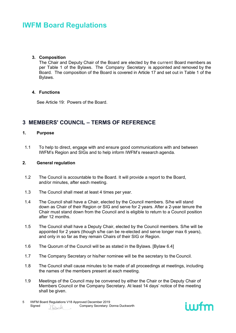#### **3. Composition**

The Chair and Deputy Chair of the Board are elected by the current Board members as per Table 1 of the Bylaws. The Company Secretary is appointed and removed by the Board. The composition of the Board is covered in Article 17 and set out in Table 1 of the Bylaws.

#### **4. Functions**

See Article 19: Powers of the Board.

### <span id="page-4-0"></span>**3 MEMBERS' COUNCIL – TERMS OF REFERENCE**

#### **1. Purpose**

1.1 To help to direct, engage with and ensure good communications with and between IWFM's Region and SIGs and to help inform IWFM's research agenda.

#### **2. General regulation**

- 1.2 The Council is accountable to the Board. It will provide a report to the Board, and/or minutes, after each meeting.
- 1.3 The Council shall meet at least 4 times per year.
- 1.4 The Council shall have a Chair, elected by the Council members. S/he will stand down as Chair of their Region or SIG and serve for 2 years. After a 2-year tenure the Chair must stand down from the Council and is eligible to return to a Council position after 12 months.
- 1.5 The Council shall have a Deputy Chair, elected by the Council members. S/he will be appointed for 2 years (though s/he can be re-elected and serve longer max 6 years), and only in so far as they remain Chairs of their SIG or Region.
- 1.6 The Quorum of the Council will be as stated in the Bylaws. [Bylaw 6.4]
- 1.7 The Company Secretary or his/her nominee will be the secretary to the Council.
- 1.8 The Council shall cause minutes to be made of all proceedings at meetings, including the names of the members present at each meeting.
- 1.9 Meetings of the Council may be convened by either the Chair or the Deputy Chair of Members Council or the Company Secretary. At least 14 days' notice of the meeting shall be given.

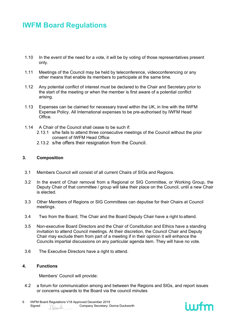- 1.10 In the event of the need for a vote, it will be by voting of those representatives present only.
- 1.11 Meetings of the Council may be held by teleconference, videoconferencing or any other means that enable its members to participate at the same time.
- 1.12 Any potential conflict of interest must be declared to the Chair and Secretary prior to the start of the meeting or when the member is first aware of a potential conflict arising.
- 1.13 Expenses can be claimed for necessary travel within the UK, in line with the IWFM Expense Policy. All International expenses to be pre-authorised by IWFM Head Office.
- 1.14 A Chair of the Council shall cease to be such if:
	- 2.13.1 s/he fails to attend three consecutive meetings of the Council without the prior consent of IWFM Head Office
	- 2.13.2 s/he offers their resignation from the Council.

#### **3. Composition**

- 3.1 Members Council will consist of all current Chairs of SIGs and Regions.
- 3.2 In the event of Chair removal from a Regional or SIG Committee, or Working Group, the Deputy Chair of that committee / group will take their place on the Council, until a new Chair is elected.
- 3.3 Other Members of Regions or SIG Committees can deputise for their Chairs at Council meetings.
- 3.4 Two from the Board; The Chair and the Board Deputy Chair have a right to attend.
- 3.5 Non-executive Board Directors and the Chair of Constitution and Ethics have a standing invitation to attend Council meetings. At their discretion, the Council Chair and Deputy Chair may exclude them from part of a meeting if in their opinion it will enhance the Councils impartial discussions on any particular agenda item. They will have no vote.
- 3.6 The Executive Directors have a right to attend.

#### **4. Functions**

Members' Council will provide:

4.2 a forum for communication among and between the Regions and SlGs, and report issues or concerns upwards to the Board via the council minutes



<sup>6</sup> IWFM Board Regulations V18 Approved December 2019<br>Signed MAL Company Secretary: D Signed Company Secretary: Donna Duckworth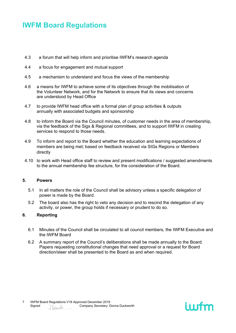- 4.3 a forum that will help inform and prioritise IWFM's research agenda
- 4.4 a focus for engagement and mutual support
- 4.5 a mechanism to understand and focus the views of the membership
- 4.6 a means for IWFM to achieve some of its objectives through the mobilisation of the Volunteer Network, and for the Network to ensure that its views and concerns are understood by Head Office
- 4.7 to provide IWFM head office with a formal plan of group activities & outputs annually with associated budgets and sponsorship
- 4.8 to inform the Board via the Council minutes, of customer needs in the area of membership, via the feedback of the Sigs & Regional committees, and to support IWFM in creating services to respond to those needs.
- 4.9 To inform and report to the Board whether the education and learning expectations of members are being met; based on feedback received via SIGs Regions or Members directly
- 4.10 to work with Head office staff to review and present modifications / suggested amendments to the annual membership fee structure, for the consideration of the Board.

#### **5. Powers**

- 5.1 In all matters the role of the Council shall be advisory unless a specific delegation of power is made by the Board.
- 5.2 The board also has the right to veto any decision and to rescind the delegation of any activity, or power, the group holds if necessary or prudent to do so.

#### **6. Reporting**

- 6.1 Minutes of the Council shall be circulated to all council members, the IWFM Executive and the IWFM Board
- 6.2 A summary report of the Council's deliberations shall be made annually to the Board. Papers requesting constitutional changes that need approval or a request for Board direction/steer shall be presented to the Board as and when required.

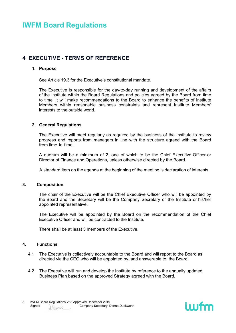### <span id="page-7-0"></span>**4 EXECUTIVE - TERMS OF REFERENCE**

#### **1. Purpose**

See Article 19.3 for the Executive's constitutional mandate.

The Executive is responsible for the day-to-day running and development of the affairs of the Institute within the Board Regulations and policies agreed by the Board from time to time. It will make recommendations to the Board to enhance the benefits of Institute Members within reasonable business constraints and represent Institute Members' interests to the outside world.

#### **2. General Regulations**

The Executive will meet regularly as required by the business of the Institute to review progress and reports from managers in line with the structure agreed with the Board from time to time.

A quorum will be a minimum of 2, one of which to be the Chief Executive Officer or Director of Finance and Operations, unless otherwise directed by the Board.

A standard item on the agenda at the beginning of the meeting is declaration of interests.

#### **3. Composition**

The chair of the Executive will be the Chief Executive Officer who will be appointed by the Board and the Secretary will be the Company Secretary of the Institute or his/her appointed representative.

The Executive will be appointed by the Board on the recommendation of the Chief Executive Officer and will be contracted to the Institute.

There shall be at least 3 members of the Executive.

#### **4. Functions**

- 4.1 The Executive is collectively accountable to the Board and will report to the Board as directed via the CEO who will be appointed by, and answerable to, the Board.
- 4.2 The Executive will run and develop the Institute by reference to the annually updated Business Plan based on the approved Strategy agreed with the Board.

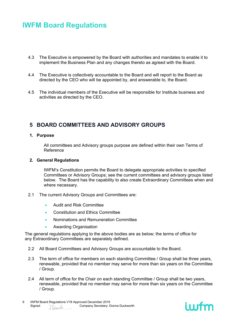- 4.3 The Executive is empowered by the Board with authorities and mandates to enable it to implement the Business Plan and any changes thereto as agreed with the Board.
- 4.4 The Executive is collectively accountable to the Board and will report to the Board as directed by the CEO who will be appointed by, and answerable to, the Board.
- 4.5 The individual members of the Executive will be responsible for Institute business and activities as directed by the CEO.

### <span id="page-8-0"></span>**5 BOARD COMMITTEES AND ADVISORY GROUPS**

#### **1. Purpose**

All committees and Advisory groups purpose are defined within their own Terms of Reference

#### **2. General Regulations**

IWFM's Constitution permits the Board to delegate appropriate activities to specified Committees or Advisory Groups; see the current committees and advisory groups listed below. The Board has the capability to also create Extraordinary Committees when and where necessary.

- 2.1 The current Advisory Groups and Committees are:
	- Audit and Risk Committee
	- Constitution and Ethics Committee
	- Nominations and Remuneration Committee
	- Awarding Organisation

The general regulations applying to the above bodies are as below; the terms of office for any Extraordinary Committees are separately defined.

- 2.2 All Board Committees and Advisory Groups are accountable to the Board.
- 2.3 The term of office for members on each standing Committee / Group shall be three years, renewable, provided that no member may serve for more than six years on the Committee / Group.
- 2.4 All term of office for the Chair on each standing Committee / Group shall be two years, renewable, provided that no member may serve for more than six years on the Committee / Group.

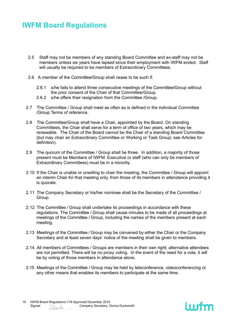- 2.5 Staff may not be members of any standing Board Committee and ex-staff may not be members unless six years have lapsed since their employment with IWFM ended. Staff will usually be required to be members of Extraordinary Committees.
- 2.6 A member of the Committee/Group shall cease to be such if:
	- 2.6.1 s/he fails to attend three consecutive meetings of the Committee/Group without the prior consent of the Chair of that Committee/Group.
	- 2.6.2 s/he offers their resignation from the Committee /Group.
- 2.7 The Committee / Group shall meet as often as is defined in the individual Committee /Group Terms of reference.
- 2.8 The Committee/Group shall have a Chair, appointed by the Board. On standing Committees, the Chair shall serve for a term of office of two years, which may be renewable. The Chair of the Board cannot be the Chair of a standing Board Committee (but may chair an Extraordinary Committee or Working or Task Group; see Articles for definition).
- 2.9 The quorum of the Committee / Group shall be three. In addition, a majority of those present must be Members of IWFM. Executive or staff (who can only be members of Extraordinary Committees) must be in a minority.
- 2.10 If the Chair is unable or unwilling to chair the meeting, the Committee / Group will appoint an interim Chair for that meeting only, from those of its members in attendance providing it is quorate.
- 2.11 The Company Secretary or his/her nominee shall be the Secretary of the Committee / Group.
- 2.12 The Committee / Group shall undertake its proceedings in accordance with these regulations. The Committee / Group shall cause minutes to be made of all proceedings at meetings of the Committee / Group, including the names of the members present at each meeting.
- 2.13 Meetings of the Committee / Group may be convened by either the Chair or the Company Secretary and at least seven days' notice of the meeting shall be given to members.
- 2.14 All members of Committees / Groups are members in their own right; alternative attendees are not permitted. There will be no proxy voting. In the event of the need for a vote, it will be by voting of those members in attendance alone.
- 2.15 Meetings of the Committee / Group may be held by teleconference, videoconferencing or any other means that enables its members to participate at the same time.

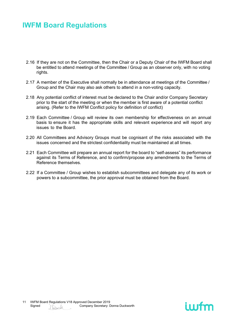- 2.16 If they are not on the Committee, then the Chair or a Deputy Chair of the IWFM Board shall be entitled to attend meetings of the Committee / Group as an observer only, with no voting rights.
- 2.17 A member of the Executive shall normally be in attendance at meetings of the Committee / Group and the Chair may also ask others to attend in a non-voting capacity.
- 2.18 Any potential conflict of interest must be declared to the Chair and/or Company Secretary prior to the start of the meeting or when the member is first aware of a potential conflict arising. (Refer to the IWFM Conflict policy for definition of conflict)
- 2.19 Each Committee / Group will review its own membership for effectiveness on an annual basis to ensure it has the appropriate skills and relevant experience and will report any issues to the Board.
- 2.20 All Committees and Advisory Groups must be cognisant of the risks associated with the issues concerned and the strictest confidentiality must be maintained at all times.
- 2.21 Each Committee will prepare an annual report for the board to "self-assess" its performance against its Terms of Reference, and to confirm/propose any amendments to the Terms of Reference themselves.
- 2.22 If a Committee / Group wishes to establish subcommittees and delegate any of its work or powers to a subcommittee, the prior approval must be obtained from the Board.

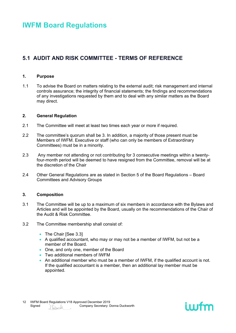### <span id="page-11-0"></span>**5.1 AUDIT AND RISK COMMITTEE - TERMS OF REFERENCE**

#### **1. Purpose**

1.1 To advise the Board on matters relating to the external audit; risk management and internal controls assurance; the integrity of financial statements; the findings and recommendations of any investigations requested by them and to deal with any similar matters as the Board may direct.

#### **2. General Regulation**

- 2.1 The Committee will meet at least two times each year or more if required.
- 2.2 The committee's quorum shall be 3. In addition, a majority of those present must be Members of IWFM. Executive or staff (who can only be members of Extraordinary Committees) must be in a minority.
- 2.3 Any member not attending or not contributing for 3 consecutive meetings within a twentyfour-month period will be deemed to have resigned from the Committee, removal will be at the discretion of the Chair
- 2.4 Other General Regulations are as stated in Section 5 of the Board Regulations Board Committees and Advisory Groups

#### **3. Composition**

- 3.1 The Committee will be up to a maximum of six members in accordance with the Bylaws and Articles and will be appointed by the Board, usually on the recommendations of the Chair of the Audit & Risk Committee.
- 3.2 The Committee membership shall consist of:
	- The Chair [See 3.3]
	- A qualified accountant, who may or may not be a member of IWFM, but not be a member of the Board.
	- One, and only one, member of the Board
	- Two additional members of IWFM
	- An additional member who must be a member of IWFM, if the qualified account is not. If the qualified accountant is a member, then an additional lay member must be appointed.

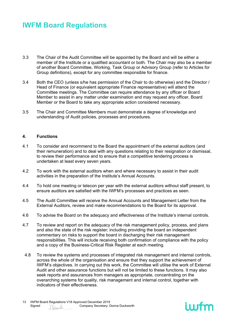- 3.3 The Chair of the Audit Committee will be appointed by the Board and will be either a member of the Institute or a qualified accountant or both. The Chair may also be a member of another Board Committee, Working, Task Group or Advisory Group (refer to Articles for Group definitions), except for any committee responsible for finance.
- 3.4 Both the CEO (unless s/he has permission of the Chair to do otherwise) and the Director / Head of Finance (or equivalent appropriate Finance representative) will attend the Committee meetings. The Committee can require attendance by any officer or Board Member to assist in any matter under examination and may request any officer, Board Member or the Board to take any appropriate action considered necessary.
- 3.5 The Chair and Committee Members must demonstrate a degree of knowledge and understanding of Audit policies, processes and procedures.

#### **4. Functions**

- 4.1 To consider and recommend to the Board the appointment of the external auditors (and their remuneration) and to deal with any questions relating to their resignation or dismissal, to review their performance and to ensure that a competitive tendering process is undertaken at least every seven years.
- 4.2 To work with the external auditors when and where necessary to assist in their audit activities in the preparation of the Institute's Annual Accounts.
- 4.4 To hold one meeting or telecon per year with the external auditors without staff present, to ensure auditors are satisfied with the IWFM's processes and practices as seen.
- 4.5 The Audit Committee will receive the Annual Accounts and Management Letter from the External Auditors, review and make recommendations to the Board for its approval.
- 4.6 To advise the Board on the adequacy and effectiveness of the Institute's internal controls.
- 4.7 To review and report on the adequacy of the risk management policy, process, and plans and also the state of the risk register; including providing the board an independent commentary on risks to support the board in discharging their risk management responsibilities. This will include receiving both confirmation of compliance with the policy and a copy of the Business-Critical Risk Register at each meeting.
- 4.8 To review the systems and processes of integrated risk management and internal controls, across the whole of the organisation and ensure that they support the achievement of IWFM's objectives. In carrying out this work, the Committee will utilise the work of External Audit and other assurance functions but will not be limited to these functions. It may also seek reports and assurances from managers as appropriate, concentrating on the overarching systems for quality, risk management and internal control, together with indicators of their effectiveness.

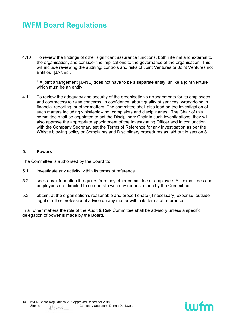4.10 To review the findings of other significant assurance functions, both internal and external to the organisation, and consider the implications to the governance of the organisation. This will include reviewing the auditing; controls and risks of Joint Ventures or Joint Ventures not Entities \*[JANEs].

\* A joint arrangement [JANE] does not have to be a separate entity, unlike a joint venture which must be an entity

4.11 To review the adequacy and security of the organisation's arrangements for its employees and contractors to raise concerns, in confidence, about quality of services, wrongdoing in financial reporting, or other matters. The committee shall also lead on the investigation of such matters including whistleblowing, complaints and disciplinaries. The Chair of this committee shall be appointed to act the Disciplinary Chair in such investigations; they will also approve the appropriate appointment of the Investigating Officer and in conjunction with the Company Secretary set the Terms of Reference for any investigation as per the Whistle blowing policy or Complaints and Disciplinary procedures as laid out in section 8.

#### **5. Powers**

The Committee is authorised by the Board to:

- 5.1 investigate any activity within its terms of reference
- 5.2 seek any information it requires from any other committee or employee. All committees and employees are directed to co-operate with any request made by the Committee
- 5.3 obtain, at the organisation's reasonable and proportionate (if necessary) expense, outside legal or other professional advice on any matter within its terms of reference.

In all other matters the role of the Audit & Risk Committee shall be advisory unless a specific delegation of power is made by the Board.

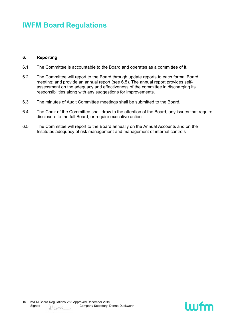#### **6. Reporting**

- 6.1 The Committee is accountable to the Board and operates as a committee of it.
- 6.2 The Committee will report to the Board through update reports to each formal Board meeting; and provide an annual report (see 6.5). The annual report provides selfassessment on the adequacy and effectiveness of the committee in discharging its responsibilities along with any suggestions for improvements.
- 6.3 The minutes of Audit Committee meetings shall be submitted to the Board.
- 6.4 The Chair of the Committee shall draw to the attention of the Board, any issues that require disclosure to the full Board, or require executive action.
- 6.5 The Committee will report to the Board annually on the Annual Accounts and on the Institutes adequacy of risk management and management of internal controls

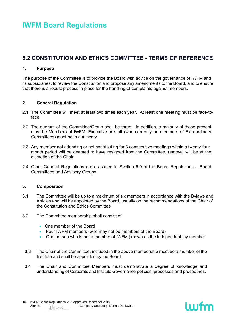### <span id="page-15-0"></span>**5.2 CONSTITUTION AND ETHICS COMMITTEE - TERMS OF REFERENCE**

#### **1. Purpose**

The purpose of the Committee is to provide the Board with advice on the governance of IWFM and its subsidiaries, to review the Constitution and propose any amendments to the Board, and to ensure that there is a robust process in place for the handling of complaints against members.

#### **2. General Regulation**

- 2.1 The Committee will meet at least two times each year. At least one meeting must be face-toface.
- 2.2 The quorum of the Committee/Group shall be three. In addition, a majority of those present must be Members of IWFM. Executive or staff (who can only be members of Extraordinary Committees) must be in a minority.
- 2.3. Any member not attending or not contributing for 3 consecutive meetings within a twenty-fourmonth period will be deemed to have resigned from the Committee, removal will be at the discretion of the Chair
- 2.4 Other General Regulations are as stated in Section 5.0 of the Board Regulations Board Committees and Advisory Groups.

#### **3. Composition**

- 3.1 The Committee will be up to a maximum of six members in accordance with the Bylaws and Articles and will be appointed by the Board, usually on the recommendations of the Chair of the Constitution and Ethics Committee
- 3.2 The Committee membership shall consist of:
	- One member of the Board
	- Four IWFM members (who may not be members of the Board)
	- One person who is not a member of IWFM (known as the independent lay member)
	- 3.3 The Chair of the Committee, included in the above membership must be a member of the Institute and shall be appointed by the Board.
	- 3.4 The Chair and Committee Members must demonstrate a degree of knowledge and understanding of Corporate and Institute Governance policies, processes and procedures.

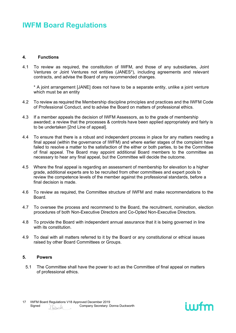#### **4. Functions**

4.1 To review as required, the constitution of IWFM, and those of any subsidiaries, Joint Ventures or Joint Ventures not entities (JANES\*), including agreements and relevant contracts, and advise the Board of any recommended changes.

\* A joint arrangement [JANE] does not have to be a separate entity, unlike a joint venture which must be an entity

- 4.2 To review as required the Membership discipline principles and practices and the IWFM Code of Professional Conduct, and to advise the Board on matters of professional ethics.
- 4.3 If a member appeals the decision of IWFM Assessors, as to the grade of membership awarded; a review that the processes & controls have been applied appropriately and fairly is to be undertaken [2nd Line of appeal].
- 4.4 To ensure that there is a robust and independent process in place for any matters needing a final appeal (within the governance of IWFM) and where earlier stages of the complaint have failed to resolve a matter to the satisfaction of the either or both parties, to be the Committee of final appeal. The Board may appoint additional Board members to the committee as necessary to hear any final appeal, but the Committee will decide the outcome.
- 4.5 Where the final appeal is regarding an assessment of membership for elevation to a higher grade, additional experts are to be recruited from other committees and expert pools to review the competence levels of the member against the professional standards, before a final decision is made.
- 4.6 To review as required, the Committee structure of IWFM and make recommendations to the Board.
- 4.7 To oversee the process and recommend to the Board, the recruitment, nomination, election procedures of both Non-Executive Directors and Co-Opted Non-Executive Directors.
- 4.8 To provide the Board with independent annual assurance that it is being governed in line with its constitution.
- 4.9 To deal with all matters referred to it by the Board or any constitutional or ethical issues raised by other Board Committees or Groups.

#### **5. Powers**

5.1 The Committee shall have the power to act as the Committee of final appeal on matters of professional ethics.

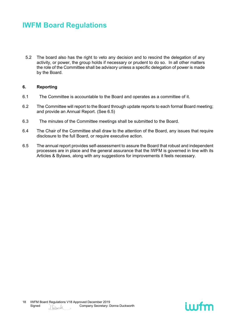5.2 The board also has the right to veto any decision and to rescind the delegation of any activity, or power, the group holds if necessary or prudent to do so. In all other matters the role of the Committee shall be advisory unless a specific delegation of power is made by the Board.

#### **6. Reporting**

- 6.1 The Committee is accountable to the Board and operates as a committee of it.
- 6.2 The Committee will report to the Board through update reports to each formal Board meeting; and provide an Annual Report. (See 6.5)
- 6.3 The minutes of the Committee meetings shall be submitted to the Board.
- 6.4 The Chair of the Committee shall draw to the attention of the Board, any issues that require disclosure to the full Board, or require executive action.
- 6.5 The annual report provides self-assessment to assure the Board that robust and independent processes are in place and the general assurance that the IWFM is governed in line with its Articles & Bylaws, along with any suggestions for improvements it feels necessary.

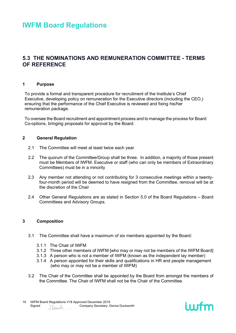### <span id="page-18-0"></span>**5.3 THE NOMINATIONS AND REMUNERATION COMMITTEE - TERMS OF REFERENCE**

#### **1 Purpose**

To provide a formal and transparent procedure for recruitment of the Institute's Chief Executive, developing policy on remuneration for the Executive directors (including the CEO,) ensuring that the performance of the Chief Executive is reviewed and fixing his/her remuneration package.

To oversee the Board recruitment and appointment process and to manage the process for Board Co-options, bringing proposals for approval by the Board.

#### **2 General Regulation**

- 2.1 The Committee will meet at least twice each year
- 2.2 The quorum of the Committee/Group shall be three. In addition, a majority of those present must be Members of IWFM. Executive or staff (who can only be members of Extraordinary Committees) must be in a minority
- 2.3 Any member not attending or not contributing for 3 consecutive meetings within a twentyfour-month period will be deemed to have resigned from the Committee, removal will be at the discretion of the Chair
- 2.4 Other General Regulations are as stated in Section 5.0 of the Board Regulations Board Committees and Advisory Groups.

#### **3 Composition**

- 3.1 The Committee shall have a maximum of six members appointed by the Board:
	- 3.1.1 The Chair of IWFM
	- 3.1.2 Three other members of IWFM [who may or may not be members of the IWFM Board]
	- 3.1.3 A person who is not a member of IWFM (known as the independent lay member)
	- 3.1.4 A person appointed for their skills and qualifications in HR and people management (who may or may not be a member of IWFM)
- 3.2 The Chair of the Committee shall be appointed by the Board from amongst the members of the Committee. The Chair of IWFM shall not be the Chair of the Committee.

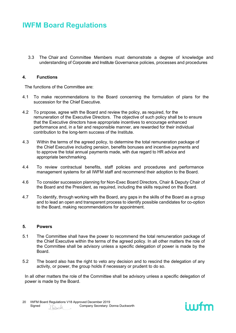3.3 The Chair and Committee Members must demonstrate a degree of knowledge and understanding of Corporate and Institute Governance policies, processes and procedures

#### **4. Functions**

The functions of the Committee are:

- 4.1 To make recommendations to the Board concerning the formulation of plans for the succession for the Chief Executive.
- 4.2 To propose, agree with the Board and review the policy, as required, for the remuneration of the Executive Directors. The objective of such policy shall be to ensure that the Executive directors have appropriate incentives to encourage enhanced performance and, in a fair and responsible manner, are rewarded for their individual contribution to the long-term success of the Institute.
- 4.3 Within the terms of the agreed policy, to determine the total remuneration package of the Chief Executive including pension, benefits bonuses and incentive payments and to approve the total annual payments made, with due regard to HR advice and appropriate benchmarking.
- 4.4 To review contractual benefits, staff policies and procedures and performance management systems for all IWFM staff and recommend their adoption to the Board.
- 4.6 To consider succession planning for Non-Exec Board Directors, Chair & Deputy Chair of the Board and the President, as required, including the skills required on the Board.
- 4.7 To identify, through working with the Board, any gaps in the skills of the Board as a group and to lead an open and transparent process to identify possible candidates for co-option to the Board, making recommendations for appointment.

#### **5. Powers**

- 5.1 The Committee shall have the power to recommend the total remuneration package of the Chief Executive within the terms of the agreed policy. In all other matters the role of the Committee shall be advisory unless a specific delegation of power is made by the Board.
- 5.2 The board also has the right to veto any decision and to rescind the delegation of any activity, or power, the group holds if necessary or prudent to do so.

In all other matters the role of the Committee shall be advisory unless a specific delegation of power is made by the Board.

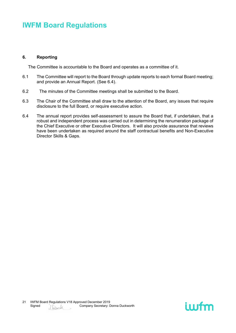#### **6. Reporting**

The Committee is accountable to the Board and operates as a committee of it.

- 6.1 The Committee will report to the Board through update reports to each formal Board meeting; and provide an Annual Report. (See 6.4).
- 6.2 The minutes of the Committee meetings shall be submitted to the Board.
- 6.3 The Chair of the Committee shall draw to the attention of the Board, any issues that require disclosure to the full Board, or require executive action.
- 6.4 The annual report provides self-assessment to assure the Board that, if undertaken, that a robust and independent process was carried out in determining the renumeration package of the Chief Executive or other Executive Directors. It will also provide assurance that reviews have been undertaken as required around the staff contractual benefits and Non-Executive Director Skills & Gaps.

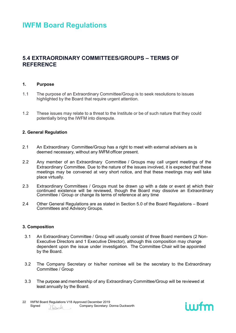### <span id="page-21-0"></span>**5.4 EXTRAORDINARY COMMITTEES/GROUPS – TERMS OF REFERENCE**

#### **1. Purpose**

- 1.1 The purpose of an Extraordinary Committee/Group is to seek resolutions to issues highlighted by the Board that require urgent attention.
- 1.2 These issues may relate to a threat to the Institute or be of such nature that they could potentially bring the IWFM into disrepute.

#### **2. General Regulation**

- 2.1 An Extraordinary Committee/Group has a right to meet with external advisers as is deemed necessary, without any IWFM officer present.
- 2.2 Any member of an Extraordinary Committee / Groups may call urgent meetings of the Extraordinary Committee. Due to the nature of the issues involved, it is expected that these meetings may be convened at very short notice, and that these meetings may well take place virtually.
- 2.3 Extraordinary Committees / Groups must be drawn up with a date or event at which their continued existence will be reviewed, though the Board may dissolve an Extraordinary Committee / Group or change its terms of reference at any time
- 2.4 Other General Regulations are as stated in Section 5.0 of the Board Regulations Board Committees and Advisory Groups.

#### **3. Composition**

- 3.1 An Extraordinary Committee / Group will usually consist of three Board members (2 Non-Executive Directors and 1 Executive Director), although this composition may change dependent upon the issue under investigation. The Committee Chair will be appointed by the Board.
- 3.2 The Company Secretary or his/her nominee will be the secretary to the Extraordinary Committee / Group
- 3.3 The purpose and membership of any Extraordinary Committee/Group will be reviewed at least annually by the Board.

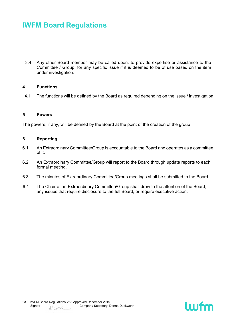3.4 Any other Board member may be called upon, to provide expertise or assistance to the Committee / Group, for any specific issue if it is deemed to be of use based on the item under investigation.

#### **4. Functions**

4.1 The functions will be defined by the Board as required depending on the issue / investigation

#### **5 Powers**

The powers, if any, will be defined by the Board at the point of the creation of the group

#### **6 Reporting**

- 6.1 An Extraordinary Committee/Group is accountable to the Board and operates as a committee of it.
- 6.2 An Extraordinary Committee/Group will report to the Board through update reports to each formal meeting.
- 6.3 The minutes of Extraordinary Committee/Group meetings shall be submitted to the Board.
- 6.4 The Chair of an Extraordinary Committee/Group shall draw to the attention of the Board, any issues that require disclosure to the full Board, or require executive action.

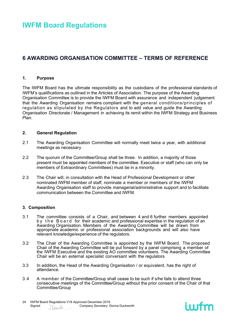### <span id="page-23-0"></span>**6 AWARDING ORGANISATION COMMITTEE – TERMS OF REFERENCE**

#### **1. Purpose**

The IWFM Board has the ultimate responsibility as the custodians of the professional standards of IWFM's qualifications as outlined in the Articles of Association. The purpose of the Awarding Organisation Committee is to provide the IWFM Board with assurance and independent judgement that the Awarding Organisation remains compliant with the general conditions/principles of regulation as stipulated by the Regulators and to add value and guide the Awarding Organisation Directorate / Management in achieving its remit within the IWFM Strategy and Business Plan.

#### **2. General Regulation**

- 2.1 The Awarding Organisation Committee will normally meet twice a year, with additional meetings as necessary.
- 2.2 The quorum of the Committee/Group shall be three. In addition, a majority of those present must be appointed members of the committee. Executive or staff (who can only be members of Extraordinary Committees) must be in a minority.
- 2.3 The Chair will, in consultation with the Head of Professional Development or other nominated IWFM member of staff, nominate a member or members of the IWFM Awarding Organisation staff to provide managerial/administrative support and to facilitate communication between the Committee and IWFM.

#### **3. Composition**

- 3.1 The committee consists of a Chair, and between 4 and 6 further members appointed by the Board for their academic and professional expertise in the regulation of an Awarding Organisation. Members of the Awarding Committee will be drawn from appropriate academic or professional association backgrounds and will also have relevant knowledge/experience of the regulators.
- 3.2 The Chair of the Awarding Committee is appointed by the IWFM Board. The proposed Chair of the Awarding Committee will be put forward by a panel comprising a member of the IWFM Executive and the existing AO committee volunteers. The Awarding Committee Chair will be an external specialist conversant with the regulators
- 3.3 In addition, the Head of the Awarding Organisation / or equivalent, has the right of attendance.
- 3.4 A member of the Committee/Group shall cease to be such if s/he fails to attend three consecutive meetings of the Committee/Group without the prior consent of the Chair of that Committee/Group

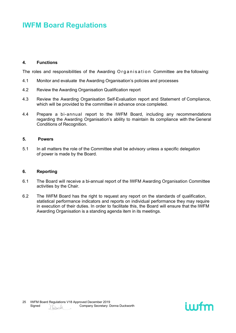#### **4. Functions**

The roles and responsibilities of the Awarding Organisation Committee are the following:

- 4.1 Monitor and evaluate the Awarding Organisation's policies and processes
- 4.2 Review the Awarding Organisation Qualification report
- 4.3 Review the Awarding Organisation Self-Evaluation report and Statement of Compliance, which will be provided to the committee in advance once completed.
- 4.4 Prepare a bi-annual report to the IWFM Board, including any recommendations regarding the Awarding Organisation's ability to maintain its compliance with the General Conditions of Recognition.

#### **5. Powers**

5.1 In all matters the role of the Committee shall be advisory unless a specific delegation of power is made by the Board.

#### **6. Reporting**

- 6.1 The Board will receive a bi-annual report of the IWFM Awarding Organisation Committee activities by the Chair.
- 6.2 The IWFM Board has the right to request any report on the standards of qualification, statistical performance indicators and reports on individual performance they may require in execution of their duties. In order to facilitate this, the Board will ensure that the IWFM Awarding Organisation is a standing agenda item in its meetings.

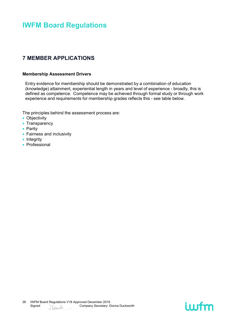### <span id="page-25-0"></span>**7 MEMBER APPLICATIONS**

#### **Membership Assessment Drivers**

Entry evidence for membership should be demonstrated by a combination of education (knowledge) attainment, experiential length in years and level of experience - broadly, this is defined as competence. Competence may be achieved through formal study or through work experience and requirements for membership grades reflects this - see table below.

The principles behind the assessment process are:

- Objectivity
- Transparency
- Parity
- Fairness and inclusivity
- Integrity
- Professional

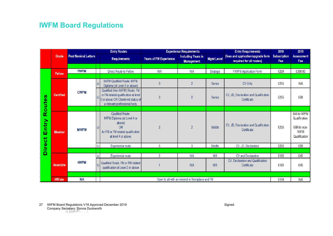|                                                         | Grade            | <b>Post Nominal Letters</b> |      | <b>Entry Routes</b>                                                                                                                          | <b>Experience Requirements</b> |                                                |                   | <b>Entry Requirements</b>                                      | 2019                       | 2019                                                                           |
|---------------------------------------------------------|------------------|-----------------------------|------|----------------------------------------------------------------------------------------------------------------------------------------------|--------------------------------|------------------------------------------------|-------------------|----------------------------------------------------------------|----------------------------|--------------------------------------------------------------------------------|
|                                                         |                  |                             |      | <b>Requirements</b>                                                                                                                          | <b>Years of FM Experience</b>  | <b>Including Years in</b><br><b>Management</b> | <b>Mgmt Level</b> | (fees and application/upgrade form<br>required for all routes) | <b>Subscription</b><br>Fee | <b>Assessment</b><br>Fee                                                       |
|                                                         |                  |                             |      |                                                                                                                                              |                                |                                                |                   |                                                                |                            |                                                                                |
| n<br>Φ<br>Š<br>۰<br>๔<br>ntry<br>ш<br>ىپ<br>U<br>٥<br>► | <b>Fellow</b>    | <b>FIWFM</b>                |      | Direct Route to Fellow                                                                                                                       | N/A                            | N/A                                            | Strategic         | <b>FIWFM Application Form</b>                                  | £269                       | £300.00                                                                        |
|                                                         |                  |                             |      |                                                                                                                                              |                                |                                                |                   |                                                                |                            |                                                                                |
|                                                         | <b>Certified</b> | <b>CIWFM</b>                | a)   | <b>IWFM Qualified Route. IWFM</b><br>Diploma (at Level 6 or above)                                                                           | 3                              | $\overline{2}$                                 | Senior            | CV Only                                                        | £255                       | N/A                                                                            |
|                                                         |                  |                             |      | Qualified (Non IWFM) Route. FM<br>or FM related qualification at level<br>6 or above OR Chartered status of<br>a relevant professional body. | 3                              | $\overline{2}$                                 | Senior            | CV, JD, Declaration and Qualification<br>Certificate           | £255                       | £89                                                                            |
|                                                         |                  |                             |      |                                                                                                                                              |                                |                                                |                   |                                                                |                            |                                                                                |
|                                                         | <b>Member</b>    | <b>MIWFM</b>                | l al | <b>Qualified Route:</b><br>IWFM Diploma (at Level 4 or<br>above)<br><b>OR</b><br>An FM or FM related qualification<br>at level 4 or above.   | $\overline{2}$                 | $\overline{2}$                                 | Middle            | CV, JD, Declaration and Qualification<br>Certificate           | £205                       | N/A for IWFM<br>Qualification.<br>£89 for non-<br><b>IWFM</b><br>Qualification |
|                                                         |                  |                             | b)   | <b>Experiential route</b>                                                                                                                    | 5                              | 3                                              | Middle            | CV, JD, Declaration                                            | £205                       | £89                                                                            |
| $\sim$<br>۵                                             |                  |                             |      |                                                                                                                                              |                                |                                                |                   |                                                                |                            |                                                                                |
|                                                         | <b>Associate</b> |                             | a)   | <b>Experiential route</b>                                                                                                                    | $\mathfrak{p}$                 | N/A                                            | N/A               | CV and Declaration                                             | £185                       | £45                                                                            |
|                                                         |                  | <b>AIWFM</b>                |      | Qualified Route. FM or FM related<br>qualification at Level 2 or above                                                                       |                                | N/A                                            | N/A               | CV, Declaration and Qualification<br>Certificate               | £185                       | £45                                                                            |
|                                                         |                  |                             |      |                                                                                                                                              |                                |                                                |                   |                                                                |                            |                                                                                |
|                                                         | <b>Affiliate</b> | <b>N/A</b>                  |      | Open to all with an interest in Workplace and FM                                                                                             |                                |                                                |                   |                                                                |                            | N/A                                                                            |

27 SIMPH Board Regulations V18 Approved December 2019 Signed Signed Signed Signed Signed Signed Signed Signed Company Secretary: Donna Duckworth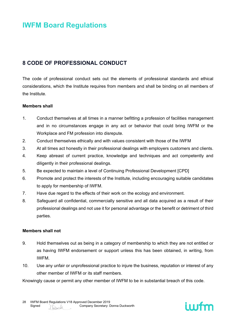### <span id="page-27-0"></span>**8 CODE OF PROFESSIONAL CONDUCT**

The code of professional conduct sets out the elements of professional standards and ethical considerations, which the Institute requires from members and shall be binding on all members of the Institute.

#### **Members shall**

- 1. Conduct themselves at all times in a manner befitting a profession of facilities management and in no circumstances engage in any act or behavior that could bring IWFM or the Workplace and FM profession into disrepute.
- 2. Conduct themselves ethically and with values consistent with those of the IWFM
- 3. At all times act honestly in their professional dealings with employers customers and clients.
- 4. Keep abreast of current practice, knowledge and techniques and act competently and diligently in their professional dealings.
- 5. Be expected to maintain a level of Continuing Professional Development [CPD]
- 6. Promote and protect the interests of the Institute, including encouraging suitable candidates to apply for membership of IWFM.
- 7. Have due regard to the effects of their work on the ecology and environment.
- 8. Safeguard all confidential, commercially sensitive and all data acquired as a result of their professional dealings and not use it for personal advantage or the benefit or detriment of third parties.

#### **Members shall not**

- 9. Hold themselves out as being in a category of membership to which they are not entitled or as having IWFM endorsement or support unless this has been obtained, in writing, from IWFM.
- 10. Use any unfair or unprofessional practice to injure the business, reputation or interest of any other member of IWFM or its staff members.

Knowingly cause or permit any other member of IWFM to be in substantial breach of this code.